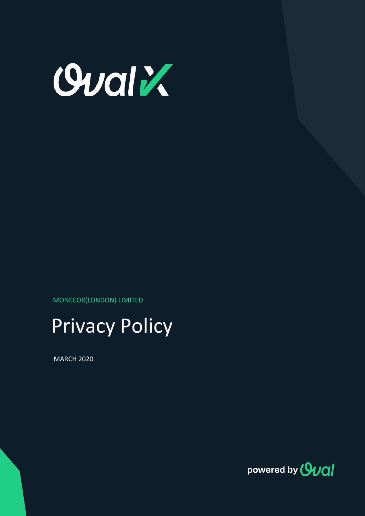

MONECOR(LONDON) LIMITED



MARCH 2020

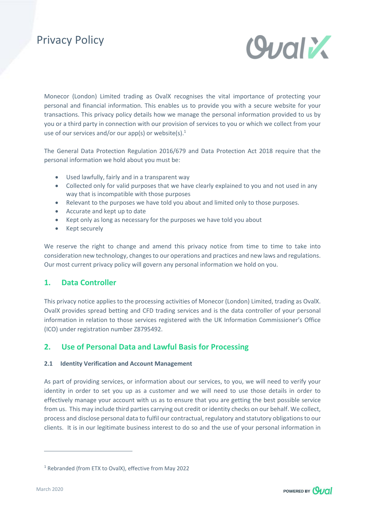

Monecor (London) Limited trading as OvalX recognises the vital importance of protecting your personal and financial information. This enables us to provide you with a secure website for your transactions. This privacy policy details how we manage the personal information provided to us by you or a third party in connection with our provision of services to you or which we collect from your use of our services and/or our app(s) or website(s). $1$ 

The General Data Protection Regulation 2016/679 and Data Protection Act 2018 require that the personal information we hold about you must be:

- Used lawfully, fairly and in a transparent way
- Collected only for valid purposes that we have clearly explained to you and not used in any way that is incompatible with those purposes
- Relevant to the purposes we have told you about and limited only to those purposes.
- Accurate and kept up to date
- Kept only as long as necessary for the purposes we have told you about
- Kept securely

We reserve the right to change and amend this privacy notice from time to time to take into consideration new technology, changes to our operations and practices and new laws and regulations. Our most current privacy policy will govern any personal information we hold on you.

### **1. Data Controller**

This privacy notice applies to the processing activities of Monecor (London) Limited, trading as OvalX. OvalX provides spread betting and CFD trading services and is the data controller of your personal information in relation to those services registered with the UK Information Commissioner's Office (ICO) under registration number Z8795492.

## **2. Use of Personal Data and Lawful Basis for Processing**

### **2.1 Identity Verification and Account Management**

As part of providing services, or information about our services, to you, we will need to verify your identity in order to set you up as a customer and we will need to use those details in order to effectively manage your account with us as to ensure that you are getting the best possible service from us. This may include third parties carrying out credit or identity checks on our behalf. We collect, process and disclose personal data to fulfil our contractual, regulatory and statutory obligations to our clients. It is in our legitimate business interest to do so and the use of your personal information in



<sup>1</sup> Rebranded (from ETX to OvalX), effective from May 2022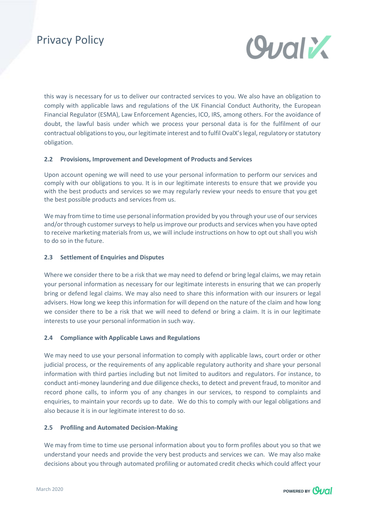

this way is necessary for us to deliver our contracted services to you. We also have an obligation to comply with applicable laws and regulations of the UK Financial Conduct Authority, the European Financial Regulator (ESMA), Law Enforcement Agencies, ICO, IRS, among others. For the avoidance of doubt, the lawful basis under which we process your personal data is for the fulfilment of our contractual obligations to you, our legitimate interest and to fulfil OvalX's legal, regulatory or statutory obligation.

### **2.2 Provisions, Improvement and Development of Products and Services**

Upon account opening we will need to use your personal information to perform our services and comply with our obligations to you. It is in our legitimate interests to ensure that we provide you with the best products and services so we may regularly review your needs to ensure that you get the best possible products and services from us.

We may from time to time use personal information provided by you through your use of our services and/or through customer surveys to help us improve our products and services when you have opted to receive marketing materials from us, we will include instructions on how to opt out shall you wish to do so in the future.

### **2.3 Settlement of Enquiries and Disputes**

Where we consider there to be a risk that we may need to defend or bring legal claims, we may retain your personal information as necessary for our legitimate interests in ensuring that we can properly bring or defend legal claims. We may also need to share this information with our insurers or legal advisers. How long we keep this information for will depend on the nature of the claim and how long we consider there to be a risk that we will need to defend or bring a claim. It is in our legitimate interests to use your personal information in such way.

### **2.4 Compliance with Applicable Laws and Regulations**

We may need to use your personal information to comply with applicable laws, court order or other judicial process, or the requirements of any applicable regulatory authority and share your personal information with third parties including but not limited to auditors and regulators. For instance, to conduct anti-money laundering and due diligence checks, to detect and prevent fraud, to monitor and record phone calls, to inform you of any changes in our services, to respond to complaints and enquiries, to maintain your records up to date. We do this to comply with our legal obligations and also because it is in our legitimate interest to do so.

### **2.5 Profiling and Automated Decision-Making**

We may from time to time use personal information about you to form profiles about you so that we understand your needs and provide the very best products and services we can. We may also make decisions about you through automated profiling or automated credit checks which could affect your

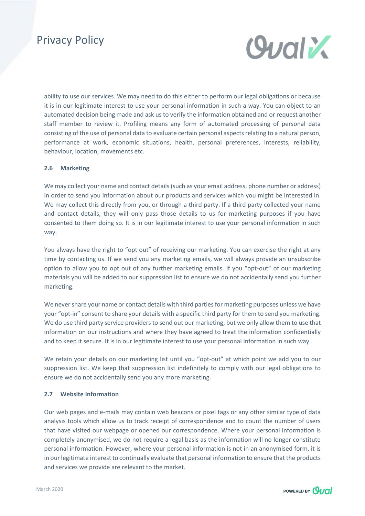

ability to use our services. We may need to do this either to perform our legal obligations or because it is in our legitimate interest to use your personal information in such a way. You can object to an automated decision being made and ask us to verify the information obtained and or request another staff member to review it. Profiling means any form of automated processing of personal data consisting of the use of personal data to evaluate certain personal aspects relating to a natural person, performance at work, economic situations, health, personal preferences, interests, reliability, behaviour, location, movements etc.

### **2.6 Marketing**

We may collect your name and contact details (such as your email address, phone number or address) in order to send you information about our products and services which you might be interested in. We may collect this directly from you, or through a third party. If a third party collected your name and contact details, they will only pass those details to us for marketing purposes if you have consented to them doing so. It is in our legitimate interest to use your personal information in such way.

You always have the right to "opt out" of receiving our marketing. You can exercise the right at any time by contacting us. If we send you any marketing emails, we will always provide an unsubscribe option to allow you to opt out of any further marketing emails. If you "opt-out" of our marketing materials you will be added to our suppression list to ensure we do not accidentally send you further marketing.

We never share your name or contact details with third parties for marketing purposes unless we have your "opt-in" consent to share your details with a specific third party for them to send you marketing. We do use third party service providers to send out our marketing, but we only allow them to use that information on our instructions and where they have agreed to treat the information confidentially and to keep it secure. It is in our legitimate interest to use your personal information in such way.

We retain your details on our marketing list until you "opt-out" at which point we add you to our suppression list. We keep that suppression list indefinitely to comply with our legal obligations to ensure we do not accidentally send you any more marketing.

### **2.7 Website Information**

Our web pages and e-mails may contain web beacons or pixel tags or any other similar type of data analysis tools which allow us to track receipt of correspondence and to count the number of users that have visited our webpage or opened our correspondence. Where your personal information is completely anonymised, we do not require a legal basis as the information will no longer constitute personal information. However, where your personal information is not in an anonymised form, it is in our legitimate interest to continually evaluate that personal information to ensure that the products and services we provide are relevant to the market.

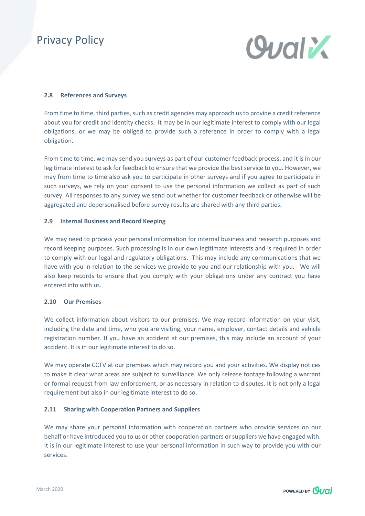

#### **2.8 References and Surveys**

From time to time, third parties, such as credit agencies may approach us to provide a credit reference about you for credit and identity checks. It may be in our legitimate interest to comply with our legal obligations, or we may be obliged to provide such a reference in order to comply with a legal obligation.

From time to time, we may send you surveys as part of our customer feedback process, and it is in our legitimate interest to ask for feedback to ensure that we provide the best service to you. However, we may from time to time also ask you to participate in other surveys and if you agree to participate in such surveys, we rely on your consent to use the personal information we collect as part of such survey. All responses to any survey we send out whether for customer feedback or otherwise will be aggregated and depersonalised before survey results are shared with any third parties.

#### **2.9 Internal Business and Record Keeping**

We may need to process your personal information for internal business and research purposes and record keeping purposes. Such processing is in our own legitimate interests and is required in order to comply with our legal and regulatory obligations. This may include any communications that we have with you in relation to the services we provide to you and our relationship with you. We will also keep records to ensure that you comply with your obligations under any contract you have entered into with us.

### **2.10 Our Premises**

We collect information about visitors to our premises. We may record information on your visit, including the date and time, who you are visiting, your name, employer, contact details and vehicle registration number. If you have an accident at our premises, this may include an account of your accident. It is in our legitimate interest to do so.

We may operate CCTV at our premises which may record you and your activities. We display notices to make it clear what areas are subject to surveillance. We only release footage following a warrant or formal request from law enforcement, or as necessary in relation to disputes. It is not only a legal requirement but also in our legitimate interest to do so.

### **2.11 Sharing with Cooperation Partners and Suppliers**

We may share your personal information with cooperation partners who provide services on our behalf or have introduced you to us or other cooperation partners or suppliers we have engaged with. It is in our legitimate interest to use your personal information in such way to provide you with our services.

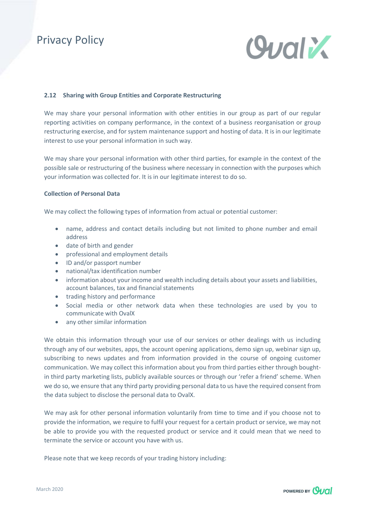

#### **2.12 Sharing with Group Entities and Corporate Restructuring**

We may share your personal information with other entities in our group as part of our regular reporting activities on company performance, in the context of a business reorganisation or group restructuring exercise, and for system maintenance support and hosting of data. It is in our legitimate interest to use your personal information in such way.

We may share your personal information with other third parties, for example in the context of the possible sale or restructuring of the business where necessary in connection with the purposes which your information was collected for. It is in our legitimate interest to do so.

#### **Collection of Personal Data**

We may collect the following types of information from actual or potential customer:

- name, address and contact details including but not limited to phone number and email address
- date of birth and gender
- professional and employment details
- ID and/or passport number
- national/tax identification number
- information about your income and wealth including details about your assets and liabilities, account balances, tax and financial statements
- trading history and performance
- Social media or other network data when these technologies are used by you to communicate with OvalX
- any other similar information

We obtain this information through your use of our services or other dealings with us including through any of our websites, apps, the account opening applications, demo sign up, webinar sign up, subscribing to news updates and from information provided in the course of ongoing customer communication. We may collect this information about you from third parties either through boughtin third party marketing lists, publicly available sources or through our 'refer a friend' scheme. When we do so, we ensure that any third party providing personal data to us have the required consent from the data subject to disclose the personal data to OvalX.

We may ask for other personal information voluntarily from time to time and if you choose not to provide the information, we require to fulfil your request for a certain product or service, we may not be able to provide you with the requested product or service and it could mean that we need to terminate the service or account you have with us.

Please note that we keep records of your trading history including:

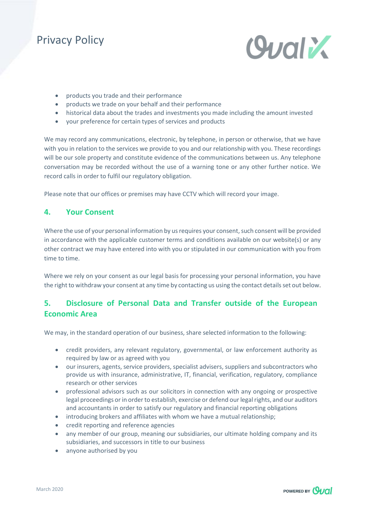

- products you trade and their performance
- products we trade on your behalf and their performance
- historical data about the trades and investments you made including the amount invested
- your preference for certain types of services and products

We may record any communications, electronic, by telephone, in person or otherwise, that we have with you in relation to the services we provide to you and our relationship with you. These recordings will be our sole property and constitute evidence of the communications between us. Any telephone conversation may be recorded without the use of a warning tone or any other further notice. We record calls in order to fulfil our regulatory obligation.

Please note that our offices or premises may have CCTV which will record your image.

### **4. Your Consent**

Where the use of your personal information by us requires your consent, such consent will be provided in accordance with the applicable customer terms and conditions available on our website(s) or any other contract we may have entered into with you or stipulated in our communication with you from time to time.

Where we rely on your consent as our legal basis for processing your personal information, you have the right to withdraw your consent at any time by contacting us using the contact details set out below.

## **5. Disclosure of Personal Data and Transfer outside of the European Economic Area**

We may, in the standard operation of our business, share selected information to the following:

- credit providers, any relevant regulatory, governmental, or law enforcement authority as required by law or as agreed with you
- our insurers, agents, service providers, specialist advisers, suppliers and subcontractors who provide us with insurance, administrative, IT, financial, verification, regulatory, compliance research or other services
- professional advisors such as our solicitors in connection with any ongoing or prospective legal proceedings or in order to establish, exercise or defend our legal rights, and our auditors and accountants in order to satisfy our regulatory and financial reporting obligations
- introducing brokers and affiliates with whom we have a mutual relationship;
- credit reporting and reference agencies
- any member of our group, meaning our subsidiaries, our ultimate holding company and its subsidiaries, and successors in title to our business
- anyone authorised by you

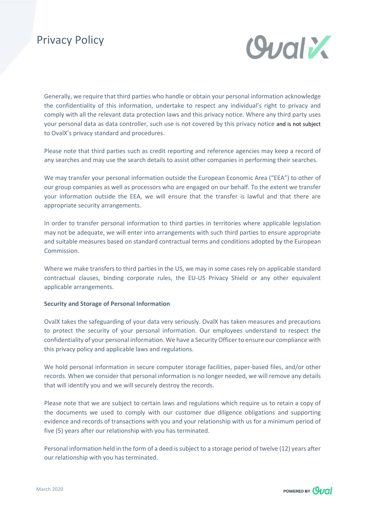

Generally, we require that third parties who handle or obtain your personal information acknowledge the confidentiality of this information, undertake to respect any individual's right to privacy and comply with all the relevant data protection laws and this privacy notice. Where any third party uses your personal data as data controller, such use is not covered by this privacy notice and is not subject to OvalX's privacy standard and procedures.

Please note that third parties such as credit reporting and reference agencies may keep a record of any searches and may use the search details to assist other companies in performing their searches.

We may transfer your personal information outside the European Economic Area ("EEA") to other of our group companies as well as processors who are engaged on our behalf. To the extent we transfer your information outside the EEA, we will ensure that the transfer is lawful and that there are appropriate security arrangements.

In order to transfer personal information to third parties in territories where applicable legislation may not be adequate, we will enter into arrangements with such third parties to ensure appropriate and suitable measures based on standard contractual terms and conditions adopted by the European Commission.

Where we make transfers to third parties in the US, we may in some cases rely on applicable standard contractual clauses, binding corporate rules, the EU-US Privacy Shield or any other equivalent applicable arrangements.

#### **Security and Storage of Personal Information**

OvalX takes the safeguarding of your data very seriously. OvalX has taken measures and precautions to protect the security of your personal information. Our employees understand to respect the confidentiality of your personal information. We have a Security Officer to ensure our compliance with this privacy policy and applicable laws and regulations.

We hold personal information in secure computer storage facilities, paper-based files, and/or other records. When we consider that personal information is no longer needed, we will remove any details that will identify you and we will securely destroy the records.

Please note that we are subject to certain laws and regulations which require us to retain a copy of the documents we used to comply with our customer due diligence obligations and supporting evidence and records of transactions with you and your relationship with us for a minimum period of five (5) years after our relationship with you has terminated.

Personal information held in the form of a deed is subject to a storage period of twelve (12) years after our relationship with you has terminated.

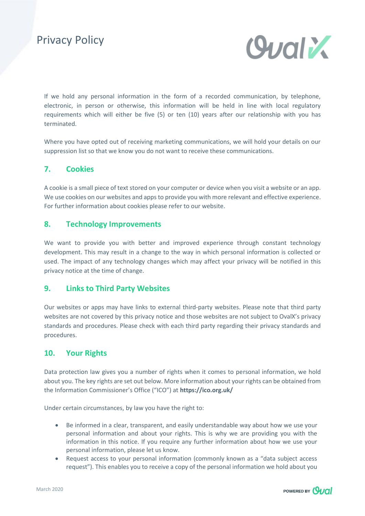

If we hold any personal information in the form of a recorded communication, by telephone, electronic, in person or otherwise, this information will be held in line with local regulatory requirements which will either be five (5) or ten (10) years after our relationship with you has terminated.

Where you have opted out of receiving marketing communications, we will hold your details on our suppression list so that we know you do not want to receive these communications.

## **7. Cookies**

A cookie is a small piece of text stored on your computer or device when you visit a website or an app. We use cookies on our websites and apps to provide you with more relevant and effective experience. For further information about cookies please refer to our website.

### **8. Technology Improvements**

We want to provide you with better and improved experience through constant technology development. This may result in a change to the way in which personal information is collected or used. The impact of any technology changes which may affect your privacy will be notified in this privacy notice at the time of change.

### **9. Links to Third Party Websites**

Our websites or apps may have links to external third-party websites. Please note that third party websites are not covered by this privacy notice and those websites are not subject to OvalX's privacy standards and procedures. Please check with each third party regarding their privacy standards and procedures.

### **10. Your Rights**

Data protection law gives you a number of rights when it comes to personal information, we hold about you. The key rights are set out below. More information about your rights can be obtained from the Information Commissioner's Office ("ICO") at **<https://ico.org.uk/>**

Under certain circumstances, by law you have the right to:

- Be informed in a clear, transparent, and easily understandable way about how we use your personal information and about your rights. This is why we are providing you with the information in this notice. If you require any further information about how we use your personal information, please let us know.
- Request access to your personal information (commonly known as a "data subject access request"). This enables you to receive a copy of the personal information we hold about you

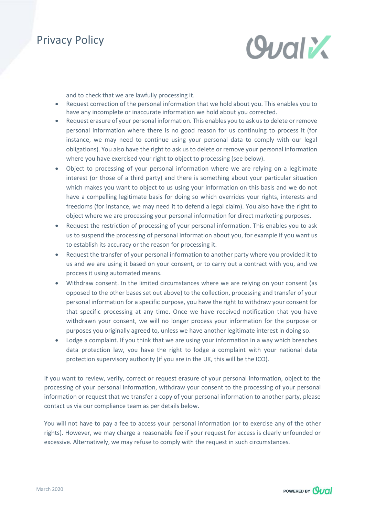

and to check that we are lawfully processing it.

- Request correction of the personal information that we hold about you. This enables you to have any incomplete or inaccurate information we hold about you corrected.
- Request erasure of your personal information. This enables you to ask us to delete or remove personal information where there is no good reason for us continuing to process it (for instance, we may need to continue using your personal data to comply with our legal obligations). You also have the right to ask us to delete or remove your personal information where you have exercised your right to object to processing (see below).
- Object to processing of your personal information where we are relying on a legitimate interest (or those of a third party) and there is something about your particular situation which makes you want to object to us using your information on this basis and we do not have a compelling legitimate basis for doing so which overrides your rights, interests and freedoms (for instance, we may need it to defend a legal claim). You also have the right to object where we are processing your personal information for direct marketing purposes.
- Request the restriction of processing of your personal information. This enables you to ask us to suspend the processing of personal information about you, for example if you want us to establish its accuracy or the reason for processing it.
- Request the transfer of your personal information to another party where you provided it to us and we are using it based on your consent, or to carry out a contract with you, and we process it using automated means.
- Withdraw consent. In the limited circumstances where we are relying on your consent (as opposed to the other bases set out above) to the collection, processing and transfer of your personal information for a specific purpose, you have the right to withdraw your consent for that specific processing at any time. Once we have received notification that you have withdrawn your consent, we will no longer process your information for the purpose or purposes you originally agreed to, unless we have another legitimate interest in doing so.
- Lodge a complaint. If you think that we are using your information in a way which breaches data protection law, you have the right to lodge a complaint with your national data protection supervisory authority (if you are in the UK, this will be the ICO).

If you want to review, verify, correct or request erasure of your personal information, object to the processing of your personal information, withdraw your consent to the processing of your personal information or request that we transfer a copy of your personal information to another party, please contact us via our compliance team as per details below.

You will not have to pay a fee to access your personal information (or to exercise any of the other rights). However, we may charge a reasonable fee if your request for access is clearly unfounded or excessive. Alternatively, we may refuse to comply with the request in such circumstances.